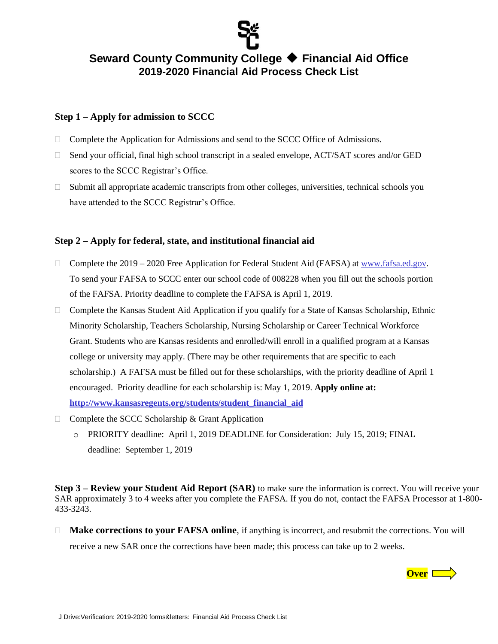

## **Seward County Community College Financial Aid Office 2019-2020 Financial Aid Process Check List**

#### **Step 1 – Apply for admission to SCCC**

- $\Box$  Complete the Application for Admissions and send to the SCCC Office of Admissions.
- $\Box$  Send your official, final high school transcript in a sealed envelope, ACT/SAT scores and/or GED scores to the SCCC Registrar's Office.
- $\Box$  Submit all appropriate academic transcripts from other colleges, universities, technical schools you have attended to the SCCC Registrar's Office.

### **Step 2 – Apply for federal, state, and institutional financial aid**

- Complete the  $2019 2020$  Free Application for Federal Student Aid (FAFSA) at [www.fafsa.ed.gov.](http://www.fafsa.ed.gov/) To send your FAFSA to SCCC enter our school code of 008228 when you fill out the schools portion of the FAFSA. Priority deadline to complete the FAFSA is April 1, 2019.
- $\Box$  Complete the Kansas Student Aid Application if you qualify for a State of Kansas Scholarship, Ethnic Minority Scholarship, Teachers Scholarship, Nursing Scholarship or Career Technical Workforce Grant. Students who are Kansas residents and enrolled/will enroll in a qualified program at a Kansas college or university may apply. (There may be other requirements that are specific to each scholarship.) A FAFSA must be filled out for these scholarships, with the priority deadline of April 1 encouraged. Priority deadline for each scholarship is: May 1, 2019. **Apply online at: [http://www.kansasregents.org/students/student\\_financial\\_aid](http://www.kansasregents.org/students/student_financial_aid)**
- $\Box$  Complete the SCCC Scholarship & Grant Application
	- o PRIORITY deadline: April 1, 2019 DEADLINE for Consideration: July 15, 2019; FINAL deadline: September 1, 2019

**Step 3 – Review your Student Aid Report (SAR)** to make sure the information is correct. You will receive your SAR approximately 3 to 4 weeks after you complete the FAFSA. If you do not, contact the FAFSA Processor at 1-800- 433-3243.

□ **Make corrections to your FAFSA online**, if anything is incorrect, and resubmit the corrections. You will receive a new SAR once the corrections have been made; this process can take up to 2 weeks.